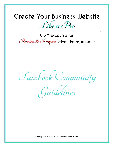## Create Your Business Website  $\mathcal{L}$ ike a  $\mathcal{P}_{ro}$

A DIY E-course for  $P$ assion &  $P$ urpose Driven Entrepreneurs

**Facebook Community** 

**Guidelines**

Copyright © 2015-2016 CreateYourBizWebsite.com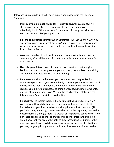Below are simple guidelines to keep in mind when engaging in the Facebook Community.

- **I will be available mostly Monday – Friday to answer questions.** I will check in on the weekends as I can, and if I have the time answer you effectively, I will. Otherwise, look for me mostly in the group Monday – Friday to answer all of your questions.
- **Be sure to introduce yourself when you first arrive.** Let us know who you are, where you're from, what business/industry you're in, where you are with your business website, and what you're looking forward to getting from this experience.
- **As others join, feel free to welcome and connect with them.** This is a community after all! Let's all pitch in to make this a warm experience for everyone. :)
- **Use this space interactively.** Ask and answer questions, get and give feedback, share your progress and your wins as you complete the training and get your business website up and running.
- **Be honest but kind.** In the event you see someone asking for feedback, it serves everyone best if you're completely honest in your answer. We can all only learn and grow from honest feedback. But always be kind in your responses. Building a business, designing a website, handling new clients, etc. can all be emotional tasks. We're all in this together. Make sure you take everyone's feelings into consideration.
- **Be positive.** Technology is fickle. Many times it has a mind of its own. As you navigate through building and running your business website, it's inevitable that you'll run into hiccups along the way. Just know that (1) you're learning and things always seem harder in the beginning before they become familiar, and (2) there is a wealth of support you can tap into, from our Facebook group to the list of support options I offer in the training area. Know that you are on the path to greatness. Don't let bumps in the road slow you down! :) While you are welcome to share any frustrations you may be going through as you build your business website, excessive

Copyright © 2015-2016 CreateYourBizWebsite.com